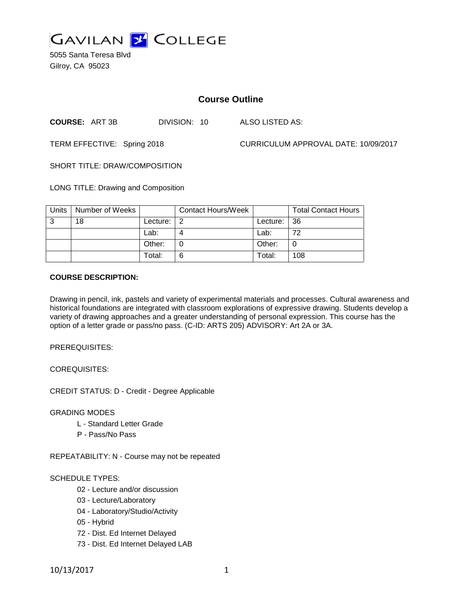

5055 Santa Teresa Blvd Gilroy, CA 95023

# **Course Outline**

**COURSE:** ART 3B DIVISION: 10 ALSO LISTED AS:

TERM EFFECTIVE: Spring 2018 CURRICULUM APPROVAL DATE: 10/09/2017

SHORT TITLE: DRAW/COMPOSITION

LONG TITLE: Drawing and Composition

| Units | Number of Weeks |          | <b>Contact Hours/Week</b> |             | <b>Total Contact Hours</b> |
|-------|-----------------|----------|---------------------------|-------------|----------------------------|
| 3     | 18              | Lecture: |                           | Lecture: 36 |                            |
|       |                 | Lab:     |                           | Lab:        | 72                         |
|       |                 | Other:   |                           | Other:      |                            |
|       |                 | Total:   | 6                         | Total:      | 108                        |

## **COURSE DESCRIPTION:**

Drawing in pencil, ink, pastels and variety of experimental materials and processes. Cultural awareness and historical foundations are integrated with classroom explorations of expressive drawing. Students develop a variety of drawing approaches and a greater understanding of personal expression. This course has the option of a letter grade or pass/no pass. (C-ID: ARTS 205) ADVISORY: Art 2A or 3A.

PREREQUISITES:

COREQUISITES:

CREDIT STATUS: D - Credit - Degree Applicable

GRADING MODES

- L Standard Letter Grade
- P Pass/No Pass

REPEATABILITY: N - Course may not be repeated

## SCHEDULE TYPES:

- 02 Lecture and/or discussion
- 03 Lecture/Laboratory
- 04 Laboratory/Studio/Activity
- 05 Hybrid
- 72 Dist. Ed Internet Delayed
- 73 Dist. Ed Internet Delayed LAB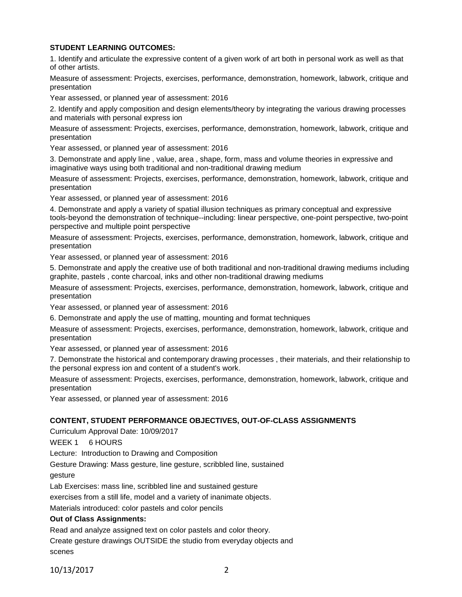# **STUDENT LEARNING OUTCOMES:**

1. Identify and articulate the expressive content of a given work of art both in personal work as well as that of other artists.

Measure of assessment: Projects, exercises, performance, demonstration, homework, labwork, critique and presentation

Year assessed, or planned year of assessment: 2016

2. Identify and apply composition and design elements/theory by integrating the various drawing processes and materials with personal express ion

Measure of assessment: Projects, exercises, performance, demonstration, homework, labwork, critique and presentation

Year assessed, or planned year of assessment: 2016

3. Demonstrate and apply line , value, area , shape, form, mass and volume theories in expressive and imaginative ways using both traditional and non-traditional drawing medium

Measure of assessment: Projects, exercises, performance, demonstration, homework, labwork, critique and presentation

Year assessed, or planned year of assessment: 2016

4. Demonstrate and apply a variety of spatial illusion techniques as primary conceptual and expressive tools-beyond the demonstration of technique--including: linear perspective, one-point perspective, two-point perspective and multiple point perspective

Measure of assessment: Projects, exercises, performance, demonstration, homework, labwork, critique and presentation

Year assessed, or planned year of assessment: 2016

5. Demonstrate and apply the creative use of both traditional and non-traditional drawing mediums including graphite, pastels , conte charcoal, inks and other non-traditional drawing mediums

Measure of assessment: Projects, exercises, performance, demonstration, homework, labwork, critique and presentation

Year assessed, or planned year of assessment: 2016

6. Demonstrate and apply the use of matting, mounting and format techniques

Measure of assessment: Projects, exercises, performance, demonstration, homework, labwork, critique and presentation

Year assessed, or planned year of assessment: 2016

7. Demonstrate the historical and contemporary drawing processes , their materials, and their relationship to the personal express ion and content of a student's work.

Measure of assessment: Projects, exercises, performance, demonstration, homework, labwork, critique and presentation

Year assessed, or planned year of assessment: 2016

## **CONTENT, STUDENT PERFORMANCE OBJECTIVES, OUT-OF-CLASS ASSIGNMENTS**

Curriculum Approval Date: 10/09/2017

WEEK 1 6 HOURS

Lecture: Introduction to Drawing and Composition

Gesture Drawing: Mass gesture, line gesture, scribbled line, sustained gesture

Lab Exercises: mass line, scribbled line and sustained gesture

exercises from a still life, model and a variety of inanimate objects.

Materials introduced: color pastels and color pencils

## **Out of Class Assignments:**

Read and analyze assigned text on color pastels and color theory.

Create gesture drawings OUTSIDE the studio from everyday objects and scenes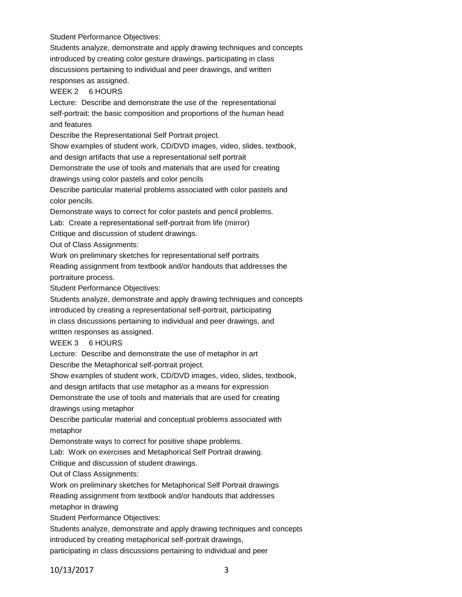Student Performance Objectives:

Students analyze, demonstrate and apply drawing techniques and concepts introduced by creating color gesture drawings, participating in class discussions pertaining to individual and peer drawings, and written responses as assigned.

## WEEK 2 6 HOURS

Lecture: Describe and demonstrate the use of the representational self-portrait: the basic composition and proportions of the human head and features

Describe the Representational Self Portrait project.

Show examples of student work, CD/DVD images, video, slides, textbook,

and design artifacts that use a representational self portrait

Demonstrate the use of tools and materials that are used for creating

drawings using color pastels and color pencils

Describe particular material problems associated with color pastels and color pencils.

Demonstrate ways to correct for color pastels and pencil problems.

Lab: Create a representational self-portrait from life (mirror)

Critique and discussion of student drawings.

Out of Class Assignments:

Work on preliminary sketches for representational self portraits

Reading assignment from textbook and/or handouts that addresses the portraiture process.

Student Performance Objectives:

Students analyze, demonstrate and apply drawing techniques and concepts introduced by creating a representational self-portrait, participating in class discussions pertaining to individual and peer drawings, and

written responses as assigned.

#### WEEK 3 6 HOURS

Lecture: Describe and demonstrate the use of metaphor in art

Describe the Metaphorical self-portrait project.

Show examples of student work, CD/DVD images, video, slides, textbook,

and design artifacts that use metaphor as a means for expression

Demonstrate the use of tools and materials that are used for creating drawings using metaphor

Describe particular material and conceptual problems associated with metaphor

Demonstrate ways to correct for positive shape problems.

Lab: Work on exercises and Metaphorical Self Portrait drawing.

Critique and discussion of student drawings.

Out of Class Assignments:

Work on preliminary sketches for Metaphorical Self Portrait drawings

Reading assignment from textbook and/or handouts that addresses metaphor in drawing

Student Performance Objectives:

Students analyze, demonstrate and apply drawing techniques and concepts introduced by creating metaphorical self-portrait drawings,

participating in class discussions pertaining to individual and peer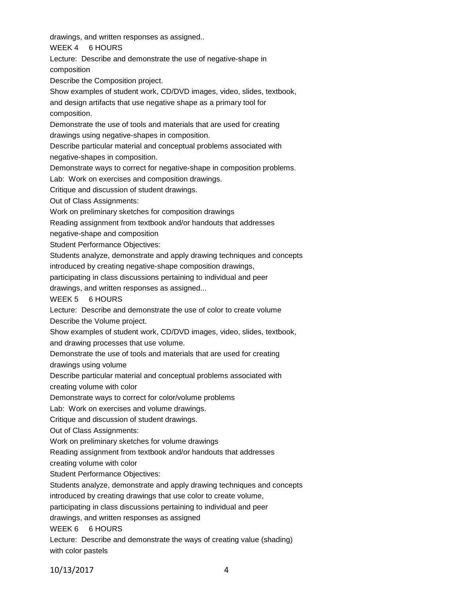drawings, and written responses as assigned..

WEEK 4 6 HOURS

Lecture: Describe and demonstrate the use of negative-shape in composition

Describe the Composition project.

Show examples of student work, CD/DVD images, video, slides, textbook, and design artifacts that use negative shape as a primary tool for composition.

Demonstrate the use of tools and materials that are used for creating drawings using negative-shapes in composition.

Describe particular material and conceptual problems associated with

negative-shapes in composition.

Demonstrate ways to correct for negative-shape in composition problems.

Lab: Work on exercises and composition drawings.

Critique and discussion of student drawings.

Out of Class Assignments:

Work on preliminary sketches for composition drawings

Reading assignment from textbook and/or handouts that addresses

negative-shape and composition

Student Performance Objectives:

Students analyze, demonstrate and apply drawing techniques and concepts introduced by creating negative-shape composition drawings,

participating in class discussions pertaining to individual and peer

drawings, and written responses as assigned...

WEEK 5 6 HOURS

Lecture: Describe and demonstrate the use of color to create volume Describe the Volume project.

Show examples of student work, CD/DVD images, video, slides, textbook, and drawing processes that use volume.

Demonstrate the use of tools and materials that are used for creating

drawings using volume

Describe particular material and conceptual problems associated with

creating volume with color

Demonstrate ways to correct for color/volume problems

Lab: Work on exercises and volume drawings.

Critique and discussion of student drawings.

Out of Class Assignments:

Work on preliminary sketches for volume drawings

Reading assignment from textbook and/or handouts that addresses

creating volume with color

Student Performance Objectives:

Students analyze, demonstrate and apply drawing techniques and concepts

introduced by creating drawings that use color to create volume,

participating in class discussions pertaining to individual and peer

drawings, and written responses as assigned

WEEK 6 6 HOURS

Lecture: Describe and demonstrate the ways of creating value (shading) with color pastels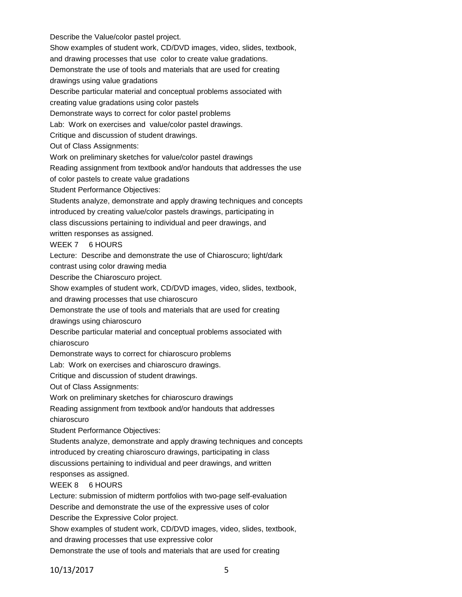Describe the Value/color pastel project. Show examples of student work, CD/DVD images, video, slides, textbook, and drawing processes that use color to create value gradations. Demonstrate the use of tools and materials that are used for creating drawings using value gradations Describe particular material and conceptual problems associated with creating value gradations using color pastels Demonstrate ways to correct for color pastel problems Lab: Work on exercises and value/color pastel drawings. Critique and discussion of student drawings. Out of Class Assignments: Work on preliminary sketches for value/color pastel drawings Reading assignment from textbook and/or handouts that addresses the use of color pastels to create value gradations Student Performance Objectives: Students analyze, demonstrate and apply drawing techniques and concepts introduced by creating value/color pastels drawings, participating in class discussions pertaining to individual and peer drawings, and written responses as assigned. WEEK 7 6 HOURS Lecture: Describe and demonstrate the use of Chiaroscuro; light/dark contrast using color drawing media Describe the Chiaroscuro project. Show examples of student work, CD/DVD images, video, slides, textbook, and drawing processes that use chiaroscuro Demonstrate the use of tools and materials that are used for creating drawings using chiaroscuro Describe particular material and conceptual problems associated with chiaroscuro Demonstrate ways to correct for chiaroscuro problems Lab: Work on exercises and chiaroscuro drawings. Critique and discussion of student drawings. Out of Class Assignments: Work on preliminary sketches for chiaroscuro drawings Reading assignment from textbook and/or handouts that addresses chiaroscuro Student Performance Objectives: Students analyze, demonstrate and apply drawing techniques and concepts introduced by creating chiaroscuro drawings, participating in class discussions pertaining to individual and peer drawings, and written responses as assigned. WEEK 8 6 HOURS Lecture: submission of midterm portfolios with two-page self-evaluation Describe and demonstrate the use of the expressive uses of color Describe the Expressive Color project. Show examples of student work, CD/DVD images, video, slides, textbook, and drawing processes that use expressive color

Demonstrate the use of tools and materials that are used for creating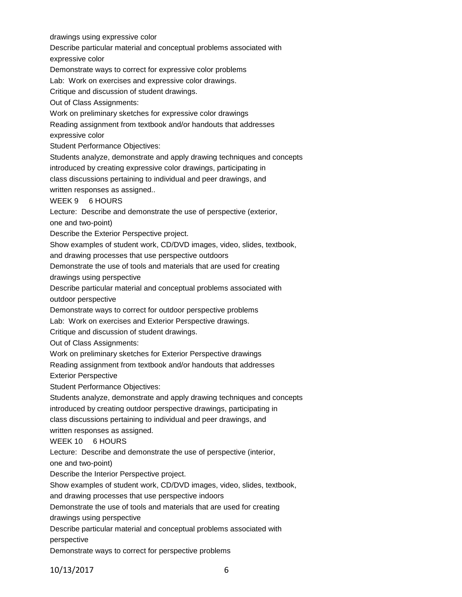drawings using expressive color

Describe particular material and conceptual problems associated with

expressive color

Demonstrate ways to correct for expressive color problems

Lab: Work on exercises and expressive color drawings.

Critique and discussion of student drawings.

Out of Class Assignments:

Work on preliminary sketches for expressive color drawings

Reading assignment from textbook and/or handouts that addresses

expressive color

Student Performance Objectives:

Students analyze, demonstrate and apply drawing techniques and concepts introduced by creating expressive color drawings, participating in class discussions pertaining to individual and peer drawings, and

written responses as assigned..

WEEK 9 6 HOURS

Lecture: Describe and demonstrate the use of perspective (exterior,

one and two-point)

Describe the Exterior Perspective project.

Show examples of student work, CD/DVD images, video, slides, textbook,

and drawing processes that use perspective outdoors

Demonstrate the use of tools and materials that are used for creating

drawings using perspective

Describe particular material and conceptual problems associated with outdoor perspective

Demonstrate ways to correct for outdoor perspective problems

Lab: Work on exercises and Exterior Perspective drawings.

Critique and discussion of student drawings.

Out of Class Assignments:

Work on preliminary sketches for Exterior Perspective drawings

Reading assignment from textbook and/or handouts that addresses

Exterior Perspective

Student Performance Objectives:

Students analyze, demonstrate and apply drawing techniques and concepts introduced by creating outdoor perspective drawings, participating in class discussions pertaining to individual and peer drawings, and

written responses as assigned.

# WEEK 10 6 HOURS

Lecture: Describe and demonstrate the use of perspective (interior,

one and two-point)

Describe the Interior Perspective project.

Show examples of student work, CD/DVD images, video, slides, textbook,

and drawing processes that use perspective indoors

Demonstrate the use of tools and materials that are used for creating

drawings using perspective

Describe particular material and conceptual problems associated with perspective

Demonstrate ways to correct for perspective problems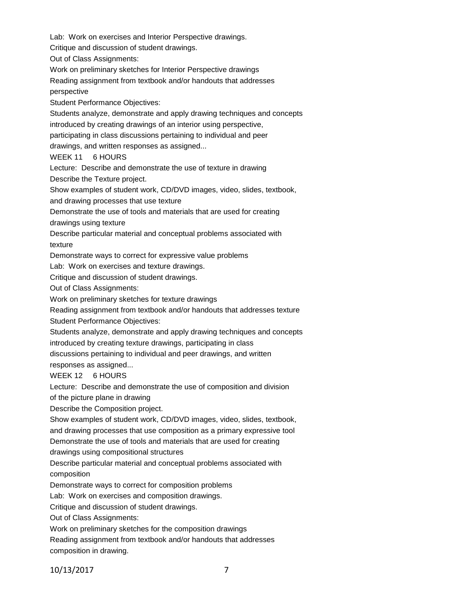Lab: Work on exercises and Interior Perspective drawings.

Critique and discussion of student drawings.

Out of Class Assignments:

Work on preliminary sketches for Interior Perspective drawings

Reading assignment from textbook and/or handouts that addresses

perspective

Student Performance Objectives:

Students analyze, demonstrate and apply drawing techniques and concepts

introduced by creating drawings of an interior using perspective,

participating in class discussions pertaining to individual and peer

drawings, and written responses as assigned...

WEEK 11 6 HOURS

Lecture: Describe and demonstrate the use of texture in drawing

Describe the Texture project.

Show examples of student work, CD/DVD images, video, slides, textbook,

and drawing processes that use texture

Demonstrate the use of tools and materials that are used for creating

drawings using texture

Describe particular material and conceptual problems associated with texture

Demonstrate ways to correct for expressive value problems

Lab: Work on exercises and texture drawings.

Critique and discussion of student drawings.

Out of Class Assignments:

Work on preliminary sketches for texture drawings

Reading assignment from textbook and/or handouts that addresses texture

Student Performance Objectives:

Students analyze, demonstrate and apply drawing techniques and concepts introduced by creating texture drawings, participating in class

discussions pertaining to individual and peer drawings, and written

responses as assigned...

WEEK 12 6 HOURS

Lecture: Describe and demonstrate the use of composition and division

of the picture plane in drawing

Describe the Composition project.

Show examples of student work, CD/DVD images, video, slides, textbook,

and drawing processes that use composition as a primary expressive tool

Demonstrate the use of tools and materials that are used for creating

drawings using compositional structures

Describe particular material and conceptual problems associated with composition

Demonstrate ways to correct for composition problems

Lab: Work on exercises and composition drawings.

Critique and discussion of student drawings.

Out of Class Assignments:

Work on preliminary sketches for the composition drawings

Reading assignment from textbook and/or handouts that addresses composition in drawing.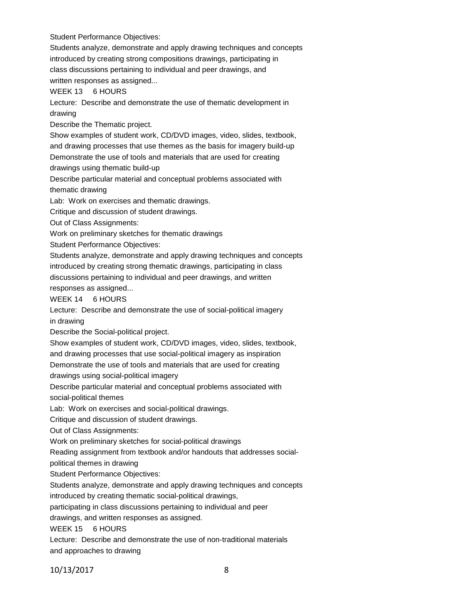Student Performance Objectives:

Students analyze, demonstrate and apply drawing techniques and concepts introduced by creating strong compositions drawings, participating in class discussions pertaining to individual and peer drawings, and written responses as assigned...

WEEK 13 6 HOURS

Lecture: Describe and demonstrate the use of thematic development in drawing

Describe the Thematic project.

Show examples of student work, CD/DVD images, video, slides, textbook, and drawing processes that use themes as the basis for imagery build-up

Demonstrate the use of tools and materials that are used for creating

drawings using thematic build-up

Describe particular material and conceptual problems associated with thematic drawing

Lab: Work on exercises and thematic drawings.

Critique and discussion of student drawings.

Out of Class Assignments:

Work on preliminary sketches for thematic drawings

Student Performance Objectives:

Students analyze, demonstrate and apply drawing techniques and concepts introduced by creating strong thematic drawings, participating in class discussions pertaining to individual and peer drawings, and written responses as assigned...

WEEK 14 6 HOURS

Lecture: Describe and demonstrate the use of social-political imagery in drawing

Describe the Social-political project.

Show examples of student work, CD/DVD images, video, slides, textbook,

and drawing processes that use social-political imagery as inspiration

Demonstrate the use of tools and materials that are used for creating drawings using social-political imagery

Describe particular material and conceptual problems associated with social-political themes

Lab: Work on exercises and social-political drawings.

Critique and discussion of student drawings.

Out of Class Assignments:

Work on preliminary sketches for social-political drawings

Reading assignment from textbook and/or handouts that addresses social-

political themes in drawing

Student Performance Objectives:

Students analyze, demonstrate and apply drawing techniques and concepts introduced by creating thematic social-political drawings,

participating in class discussions pertaining to individual and peer

drawings, and written responses as assigned.

WEEK 15 6 HOURS

Lecture: Describe and demonstrate the use of non-traditional materials and approaches to drawing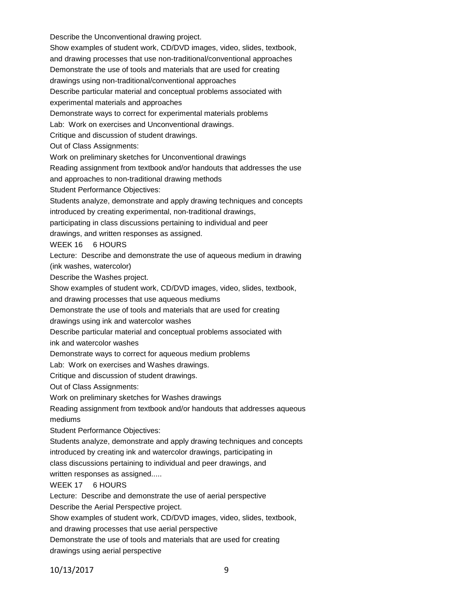Show examples of student work, CD/DVD images, video, slides, textbook, and drawing processes that use non-traditional/conventional approaches Demonstrate the use of tools and materials that are used for creating drawings using non-traditional/conventional approaches Describe particular material and conceptual problems associated with experimental materials and approaches Demonstrate ways to correct for experimental materials problems Lab: Work on exercises and Unconventional drawings. Critique and discussion of student drawings. Out of Class Assignments: Work on preliminary sketches for Unconventional drawings Reading assignment from textbook and/or handouts that addresses the use and approaches to non-traditional drawing methods Student Performance Objectives: Students analyze, demonstrate and apply drawing techniques and concepts introduced by creating experimental, non-traditional drawings, participating in class discussions pertaining to individual and peer drawings, and written responses as assigned. WEEK 16 6 HOURS Lecture: Describe and demonstrate the use of aqueous medium in drawing (ink washes, watercolor) Describe the Washes project. Show examples of student work, CD/DVD images, video, slides, textbook, and drawing processes that use aqueous mediums Demonstrate the use of tools and materials that are used for creating drawings using ink and watercolor washes Describe particular material and conceptual problems associated with ink and watercolor washes Demonstrate ways to correct for aqueous medium problems Lab: Work on exercises and Washes drawings. Critique and discussion of student drawings. Out of Class Assignments: Work on preliminary sketches for Washes drawings Reading assignment from textbook and/or handouts that addresses aqueous mediums Student Performance Objectives: Students analyze, demonstrate and apply drawing techniques and concepts introduced by creating ink and watercolor drawings, participating in class discussions pertaining to individual and peer drawings, and written responses as assigned..... WEEK 17 6 HOURS Lecture: Describe and demonstrate the use of aerial perspective Describe the Aerial Perspective project. Show examples of student work, CD/DVD images, video, slides, textbook, and drawing processes that use aerial perspective Demonstrate the use of tools and materials that are used for creating

Describe the Unconventional drawing project.

drawings using aerial perspective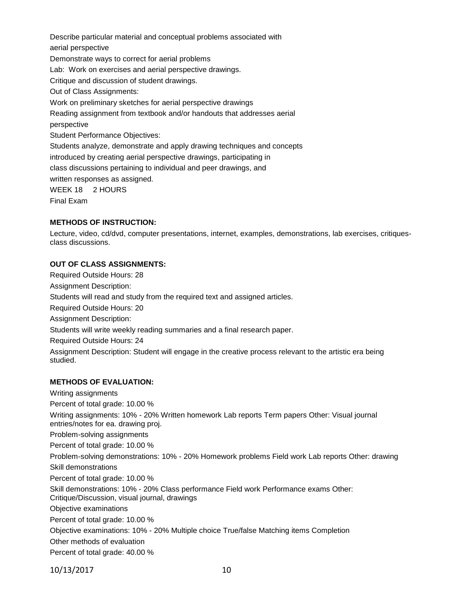Describe particular material and conceptual problems associated with aerial perspective Demonstrate ways to correct for aerial problems Lab: Work on exercises and aerial perspective drawings. Critique and discussion of student drawings. Out of Class Assignments: Work on preliminary sketches for aerial perspective drawings Reading assignment from textbook and/or handouts that addresses aerial perspective Student Performance Objectives: Students analyze, demonstrate and apply drawing techniques and concepts introduced by creating aerial perspective drawings, participating in class discussions pertaining to individual and peer drawings, and written responses as assigned. WEEK 18 2 HOURS Final Exam

## **METHODS OF INSTRUCTION:**

Lecture, video, cd/dvd, computer presentations, internet, examples, demonstrations, lab exercises, critiquesclass discussions.

## **OUT OF CLASS ASSIGNMENTS:**

Required Outside Hours: 28 Assignment Description: Students will read and study from the required text and assigned articles. Required Outside Hours: 20 Assignment Description: Students will write weekly reading summaries and a final research paper. Required Outside Hours: 24 Assignment Description: Student will engage in the creative process relevant to the artistic era being studied.

## **METHODS OF EVALUATION:**

Writing assignments Percent of total grade: 10.00 % Writing assignments: 10% - 20% Written homework Lab reports Term papers Other: Visual journal entries/notes for ea. drawing proj. Problem-solving assignments Percent of total grade: 10.00 % Problem-solving demonstrations: 10% - 20% Homework problems Field work Lab reports Other: drawing Skill demonstrations Percent of total grade: 10.00 % Skill demonstrations: 10% - 20% Class performance Field work Performance exams Other: Critique/Discussion, visual journal, drawings Objective examinations Percent of total grade: 10.00 % Objective examinations: 10% - 20% Multiple choice True/false Matching items Completion Other methods of evaluation Percent of total grade: 40.00 %